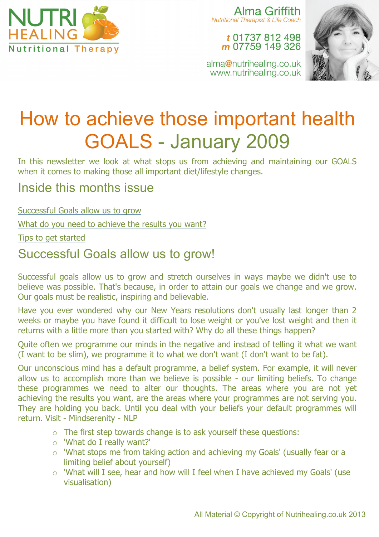

Alma Griffith **Nutritional Therapist & Life Coach** 

#### t 01737 812 498 m 07759 149 326





# How to achieve those important health GOALS - January 2009

In this newsletter we look at what stops us from achieving and maintaining our GOALS when it comes to making those all important diet/lifestyle changes.

### Inside this months issue

Successful Goals allow us to grow

What do you need to achieve the results you want?

Tips to get started

# Successful Goals allow us to grow!

Successful goals allow us to grow and stretch ourselves in ways maybe we didn't use to believe was possible. That's because, in order to attain our goals we change and we grow. Our goals must be realistic, inspiring and believable.

Have you ever wondered why our New Years resolutions don't usually last longer than 2 weeks or maybe you have found it difficult to lose weight or you've lost weight and then it returns with a little more than you started with? Why do all these things happen?

Quite often we programme our minds in the negative and instead of telling it what we want (I want to be slim), we programme it to what we don't want (I don't want to be fat).

Our unconscious mind has a default programme, a belief system. For example, it will never allow us to accomplish more than we believe is possible - our limiting beliefs. To change these programmes we need to alter our thoughts. The areas where you are not yet achieving the results you want, are the areas where your programmes are not serving you. They are holding you back. Until you deal with your beliefs your default programmes will return. Visit - Mindserenity - NLP

- o The first step towards change is to ask yourself these questions:
- o 'What do I really want?'
- o 'What stops me from taking action and achieving my Goals' (usually fear or a limiting belief about yourself)
- o 'What will I see, hear and how will I feel when I have achieved my Goals' (use visualisation)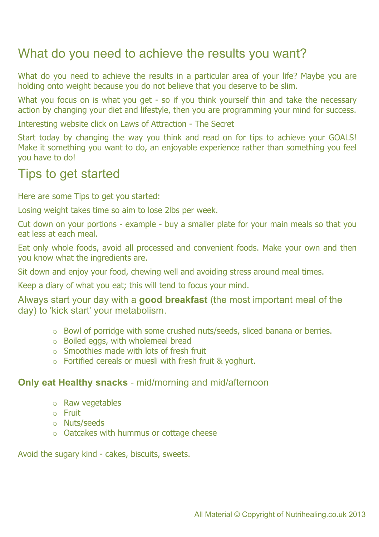# What do you need to achieve the results you want?

What do you need to achieve the results in a particular area of your life? Maybe you are holding onto weight because you do not believe that you deserve to be slim.

What you focus on is what you get - so if you think yourself thin and take the necessary action by changing your diet and lifestyle, then you are programming your mind for success.

Interesting website click on Laws of Attraction - The Secret

Start today by changing the way you think and read on for tips to achieve your GOALS! Make it something you want to do, an enjoyable experience rather than something you feel you have to do!

#### Tips to get started

Here are some Tips to get you started:

Losing weight takes time so aim to lose 2lbs per week.

Cut down on your portions - example - buy a smaller plate for your main meals so that you eat less at each meal.

Eat only whole foods, avoid all processed and convenient foods. Make your own and then you know what the ingredients are.

Sit down and enjoy your food, chewing well and avoiding stress around meal times.

Keep a diary of what you eat; this will tend to focus your mind.

Always start your day with a **good breakfast** (the most important meal of the day) to 'kick start' your metabolism.

- o Bowl of porridge with some crushed nuts/seeds, sliced banana or berries.
- o Boiled eggs, with wholemeal bread
- o Smoothies made with lots of fresh fruit
- o Fortified cereals or muesli with fresh fruit & yoghurt.

#### **Only eat Healthy snacks** - mid/morning and mid/afternoon

- o Raw vegetables
- o Fruit
- o Nuts/seeds
- o Oatcakes with hummus or cottage cheese

Avoid the sugary kind - cakes, biscuits, sweets.